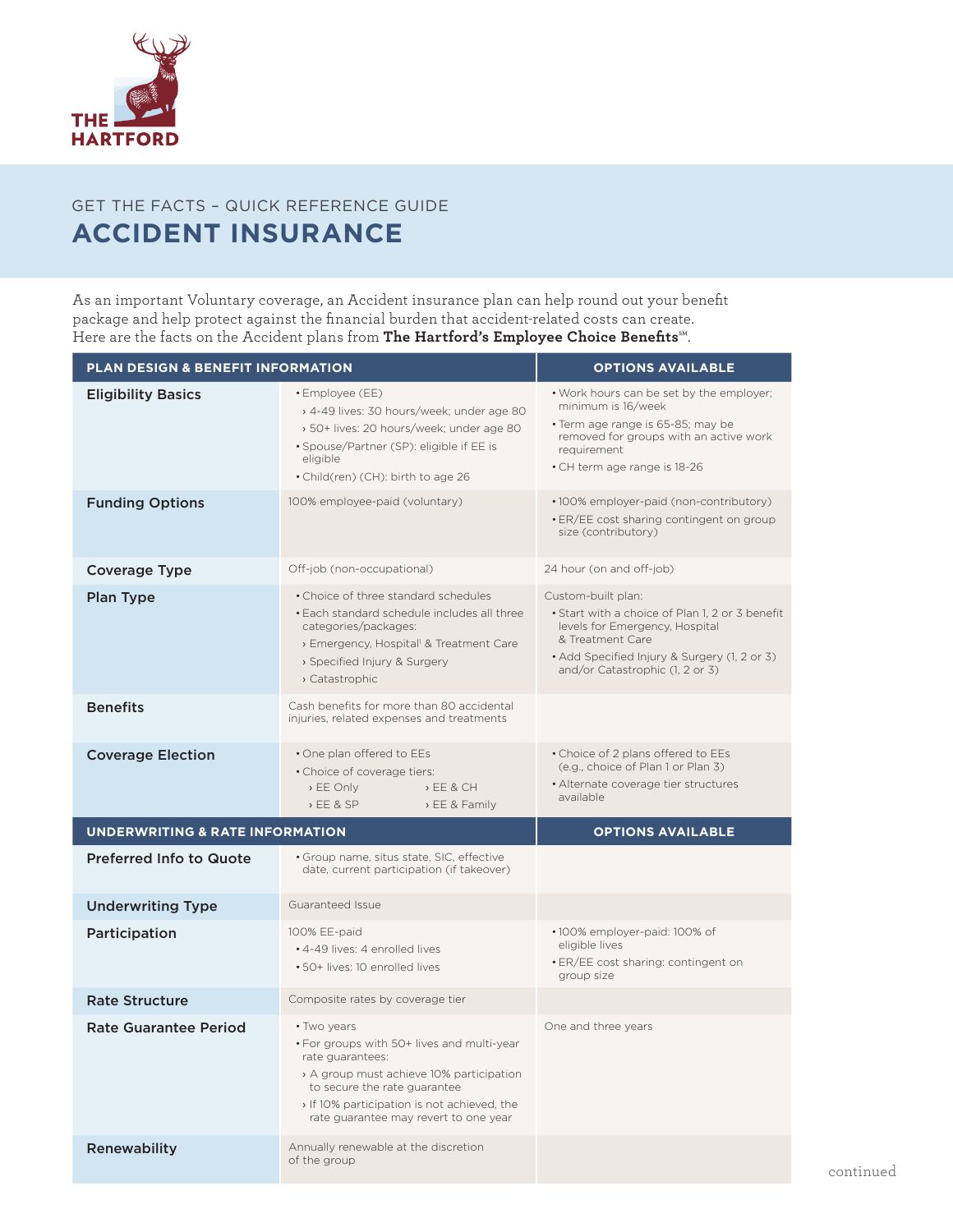

# GET THE FACTS – QUICK REFERENCE GUIDE **ACCIDENT INSURANCE**

As an important Voluntary coverage, an Accident insurance plan can help round out your benefit package and help protect against the financial burden that accident-related costs can create. Here are the facts on the Accident plans from **The Hartford's Employee Choice Benefits**℠.

| PLAN DESIGN & BENEFIT INFORMATION          | <b>OPTIONS AVAILABLE</b>                                                                                                                                                                                                                      |                                                                                                                                                                                                                |  |  |
|--------------------------------------------|-----------------------------------------------------------------------------------------------------------------------------------------------------------------------------------------------------------------------------------------------|----------------------------------------------------------------------------------------------------------------------------------------------------------------------------------------------------------------|--|--|
| <b>Eligibility Basics</b>                  | • Employee (EE)<br>> 4-49 lives: 30 hours/week; under age 80<br>> 50+ lives: 20 hours/week; under age 80<br>• Spouse/Partner (SP): eligible if EE is<br>eligible<br>• Child(ren) (CH): birth to age 26                                        | . Work hours can be set by the employer;<br>minimum is 16/week<br>• Term age range is 65-85; may be<br>removed for groups with an active work<br>requirement<br>• CH term age range is 18-26                   |  |  |
| <b>Funding Options</b>                     | 100% employee-paid (voluntary)                                                                                                                                                                                                                | •100% employer-paid (non-contributory)<br>• ER/EE cost sharing contingent on group<br>size (contributory)                                                                                                      |  |  |
| <b>Coverage Type</b>                       | Off-job (non-occupational)                                                                                                                                                                                                                    | 24 hour (on and off-job)                                                                                                                                                                                       |  |  |
| Plan Type                                  | • Choice of three standard schedules<br>• Each standard schedule includes all three<br>categories/packages:<br>> Emergency, Hospital <sup>1</sup> & Treatment Care<br>> Specified Injury & Surgery<br>> Catastrophic                          | Custom-built plan:<br>• Start with a choice of Plan 1, 2 or 3 benefit<br>levels for Emergency, Hospital<br>& Treatment Care<br>• Add Specified Injury & Surgery (1, 2 or 3)<br>and/or Catastrophic (1, 2 or 3) |  |  |
| <b>Benefits</b>                            | Cash benefits for more than 80 accidental<br>injuries, related expenses and treatments                                                                                                                                                        |                                                                                                                                                                                                                |  |  |
| <b>Coverage Election</b>                   | • One plan offered to EEs<br>• Choice of coverage tiers:<br>$E E$ Only<br>E E 8 CH<br>E E 8 SP<br>> EE & Family                                                                                                                               | • Choice of 2 plans offered to EEs<br>(e.g., choice of Plan 1 or Plan 3)<br>• Alternate coverage tier structures<br>available                                                                                  |  |  |
| <b>UNDERWRITING &amp; RATE INFORMATION</b> |                                                                                                                                                                                                                                               | <b>OPTIONS AVAILABLE</b>                                                                                                                                                                                       |  |  |
| <b>Preferred Info to Quote</b>             | • Group name, situs state, SIC, effective<br>date, current participation (if takeover)                                                                                                                                                        |                                                                                                                                                                                                                |  |  |
| <b>Underwriting Type</b>                   | Guaranteed Issue                                                                                                                                                                                                                              |                                                                                                                                                                                                                |  |  |
| Participation                              | 100% EE-paid<br>• 4-49 lives: 4 enrolled lives<br>• 50+ lives: 10 enrolled lives                                                                                                                                                              | •100% employer-paid: 100% of<br>eligible lives<br>· ER/EE cost sharing: contingent on<br>group size                                                                                                            |  |  |
| <b>Rate Structure</b>                      | Composite rates by coverage tier                                                                                                                                                                                                              |                                                                                                                                                                                                                |  |  |
| <b>Rate Guarantee Period</b>               | • Two years<br>• For groups with 50+ lives and multi-year<br>rate guarantees:<br>A group must achieve 10% participation<br>to secure the rate guarantee<br>If 10% participation is not achieved, the<br>rate quarantee may revert to one year | One and three years                                                                                                                                                                                            |  |  |
| Renewability                               | Annually renewable at the discretion<br>of the group                                                                                                                                                                                          |                                                                                                                                                                                                                |  |  |

continued